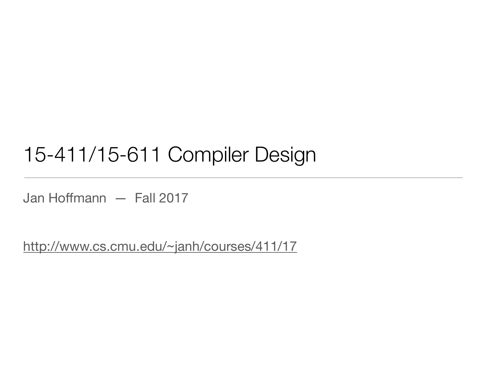### 15-411/15-611 Compiler Design

Jan Hoffmann — Fall 2017

<http://www.cs.cmu.edu/~janh/courses/411/17>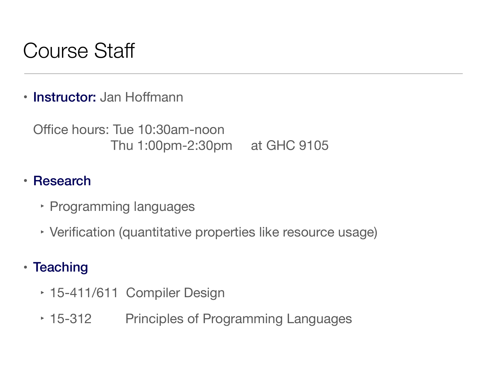## Course Staff

• Instructor: Jan Hoffmann

Office hours: Tue 10:30am-noon Thu 1:00pm-2:30pm at GHC 9105

#### • Research

- ‣ Programming languages
- ‣ Verification (quantitative properties like resource usage)
- Teaching
	- ‣ 15-411/611 Compiler Design
	- ‣ 15-312 Principles of Programming Languages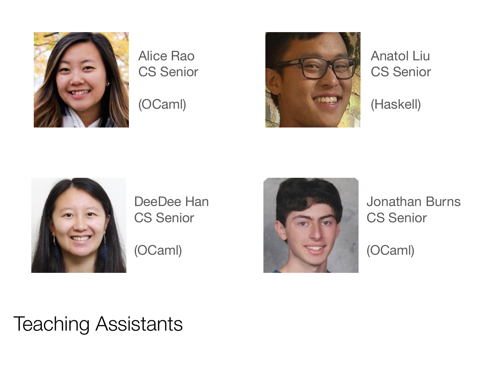

#### Alice Rao CS Senior

(OCaml)



Anatol Liu CS Senior

(Haskell)



DeeDee Han CS Senior

(OCaml)



Jonathan Burns CS Senior

(OCaml)

### Teaching Assistants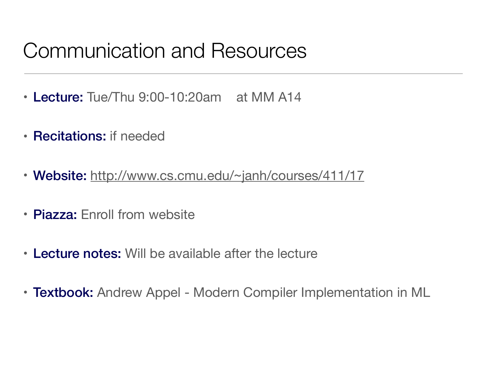## Communication and Resources

- Lecture: Tue/Thu 9:00-10:20am at MM A14
- Recitations: if needed
- Website: <http://www.cs.cmu.edu/~janh/courses/411/17>
- Piazza: Enroll from website
- Lecture notes: Will be available after the lecture
- Textbook: Andrew Appel Modern Compiler Implementation in ML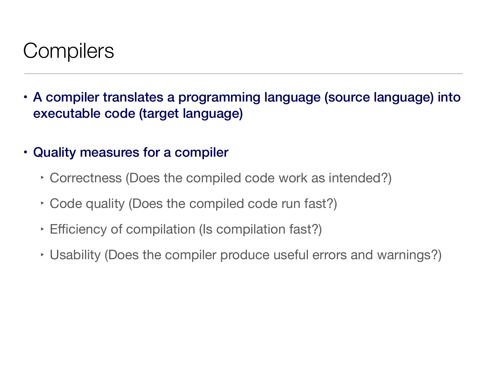## **Compilers**

- A compiler translates a programming language (source language) into executable code (target language)
- Quality measures for a compiler
	- ‣ Correctness (Does the compiled code work as intended?)
	- ‣ Code quality (Does the compiled code run fast?)
	- ‣ Efficiency of compilation (Is compilation fast?)
	- ‣ Usability (Does the compiler produce useful errors and warnings?)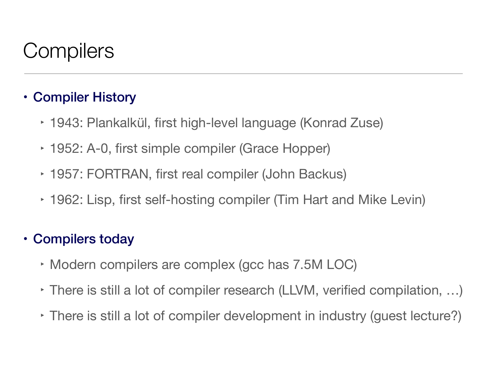## **Compilers**

#### • Compiler History

- ‣ 1943: Plankalkül, first high-level language (Konrad Zuse)
- ‣ 1952: A-0, first simple compiler (Grace Hopper)
- ‣ 1957: FORTRAN, first real compiler (John Backus)
- ‣ 1962: Lisp, first self-hosting compiler (Tim Hart and Mike Levin)

#### • Compilers today

- ‣ Modern compilers are complex (gcc has 7.5M LOC)
- ‣ There is still a lot of compiler research (LLVM, verified compilation, …)
- ‣ There is still a lot of compiler development in industry (guest lecture?)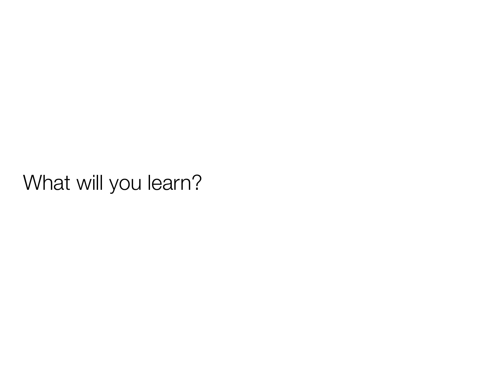### What will you learn?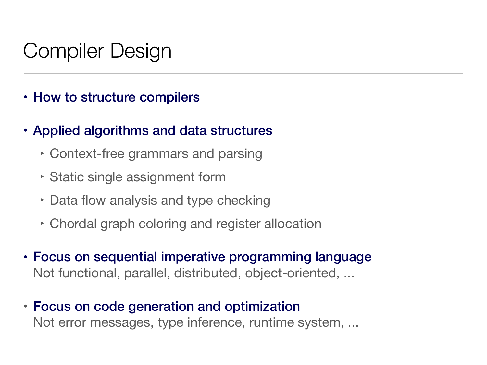## Compiler Design

- How to structure compilers
- Applied algorithms and data structures
	- ‣ Context-free grammars and parsing
	- ‣ Static single assignment form
	- ‣ Data flow analysis and type checking
	- ‣ Chordal graph coloring and register allocation
- Focus on sequential imperative programming language Not functional, parallel, distributed, object-oriented, ...
- Focus on code generation and optimization Not error messages, type inference, runtime system, ...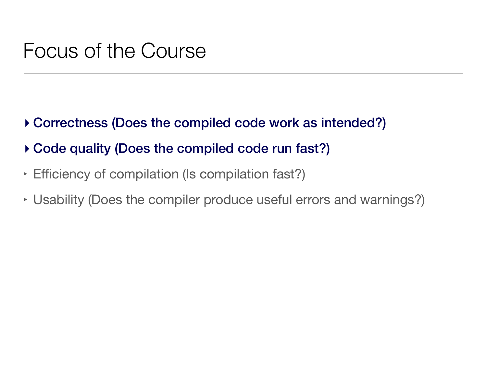### Focus of the Course

- **‣** Correctness (Does the compiled code work as intended?)
- **‣** Code quality (Does the compiled code run fast?)
- ‣ Efficiency of compilation (Is compilation fast?)
- ‣ Usability (Does the compiler produce useful errors and warnings?)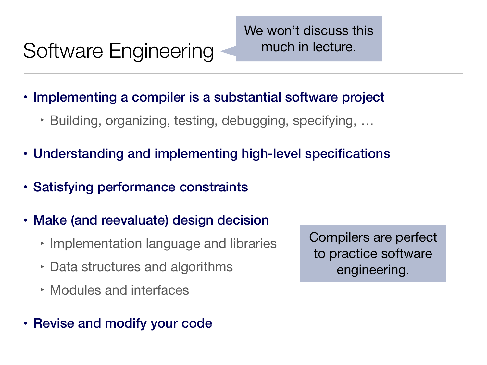# Software Engineering

We won't discuss this much in lecture.

- Implementing a compiler is a substantial software project
	- ‣ Building, organizing, testing, debugging, specifying, …
- Understanding and implementing high-level specifications
- Satisfying performance constraints
- Make (and reevaluate) design decision
	- ‣ Implementation language and libraries
	- ‣ Data structures and algorithms
	- ‣ Modules and interfaces
- Revise and modify your code

Compilers are perfect to practice software engineering.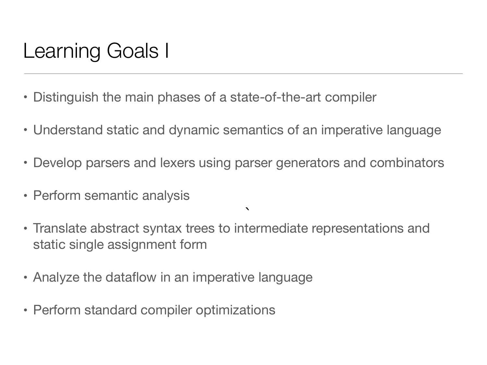## Learning Goals I

- Distinguish the main phases of a state-of-the-art compiler
- Understand static and dynamic semantics of an imperative language
- Develop parsers and lexers using parser generators and combinators

 $\blacktriangledown$ 

- Perform semantic analysis
- Translate abstract syntax trees to intermediate representations and static single assignment form `
- Analyze the dataflow in an imperative language
- Perform standard compiler optimizations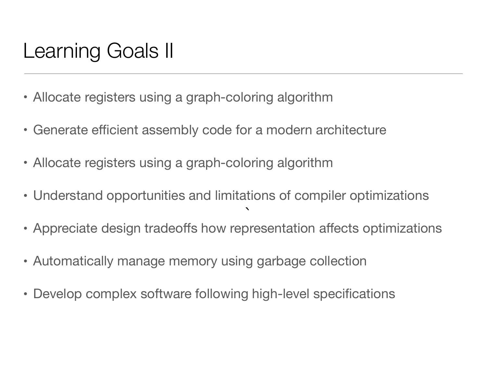## Learning Goals II

- Allocate registers using a graph-coloring algorithm
- Generate efficient assembly code for a modern architecture
- Allocate registers using a graph-coloring algorithm
- Understand opportunities and limitations of compiler optimizations
- Appreciate design tradeoffs how representation affects optimizations `
- Automatically manage memory using garbage collection
- Develop complex software following high-level specifications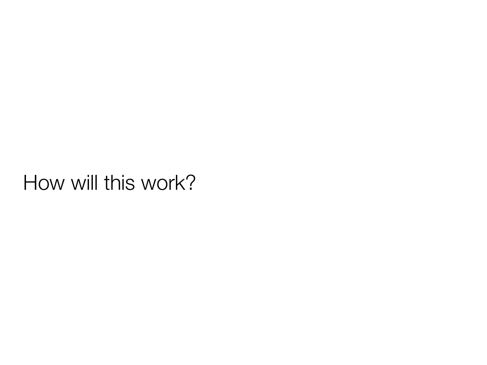### How will this work?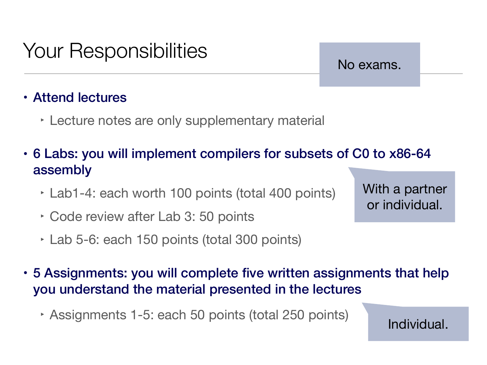# Your Responsibilities

#### No exams.

#### • Attend lectures

- ‣ Lecture notes are only supplementary material
- 6 Labs: you will implement compilers for subsets of C0 to x86-64 assembly
	- ‣ Lab1-4: each worth 100 points (total 400 points)
	- ‣ Code review after Lab 3: 50 points
	- ‣ Lab 5-6: each 150 points (total 300 points)

With a partner or individual.

- 5 Assignments: you will complete five written assignments that help you understand the material presented in the lectures
	- ‣ Assignments 1-5: each 50 points (total 250 points)

Individual.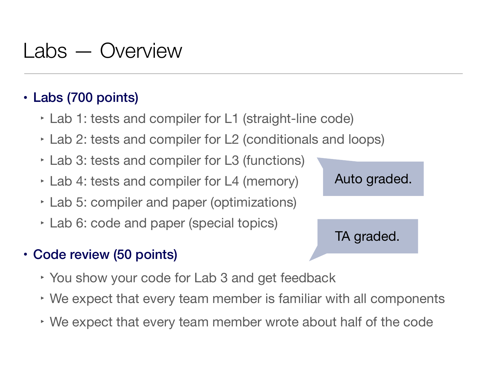## Labs — Overview

#### • Labs (700 points)

- ‣ Lab 1: tests and compiler for L1 (straight-line code)
- ‣ Lab 2: tests and compiler for L2 (conditionals and loops)
- ‣ Lab 3: tests and compiler for L3 (functions)
- ‣ Lab 4: tests and compiler for L4 (memory)
- ‣ Lab 5: compiler and paper (optimizations)
- ‣ Lab 6: code and paper (special topics)
- Code review (50 points)
	- ‣ You show your code for Lab 3 and get feedback
	- ‣ We expect that every team member is familiar with all components
	- ‣ We expect that every team member wrote about half of the code

Auto graded.

TA graded.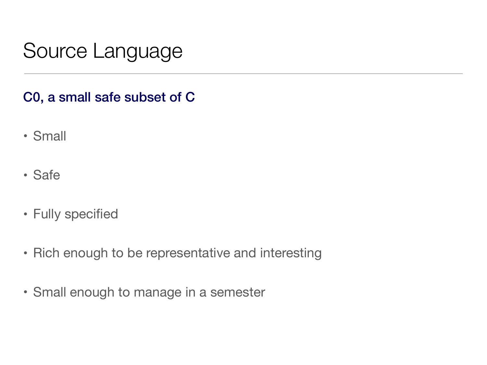## Source Language

#### C0, a small safe subset of C

- Small
- Safe
- Fully specified
- Rich enough to be representative and interesting
- Small enough to manage in a semester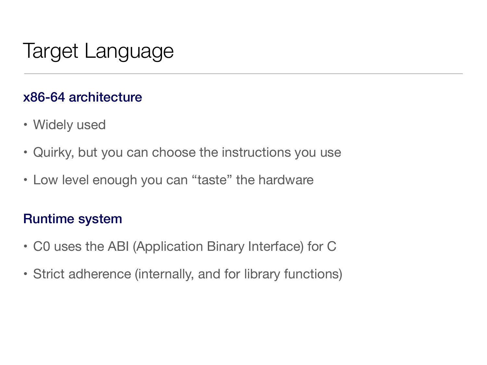# Target Language

#### x86-64 architecture

- Widely used
- Quirky, but you can choose the instructions you use
- Low level enough you can "taste" the hardware

#### Runtime system

- C0 uses the ABI (Application Binary Interface) for C
- Strict adherence (internally, and for library functions)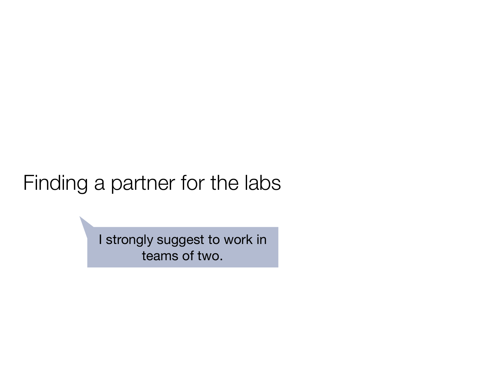### Finding a partner for the labs

I strongly suggest to work in teams of two.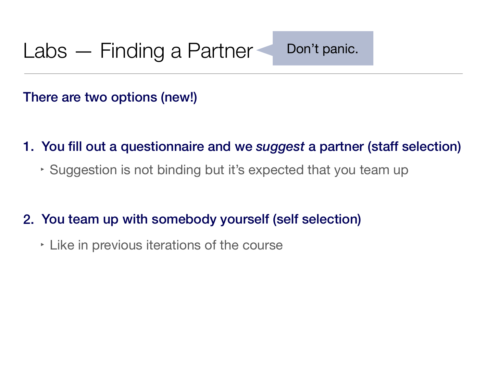There are two options (new!)

- 1. You fill out a questionnaire and we *suggest* a partner (staff selection)
	- ‣ Suggestion is not binding but it's expected that you team up
- 2. You team up with somebody yourself (self selection)
	- ‣ Like in previous iterations of the course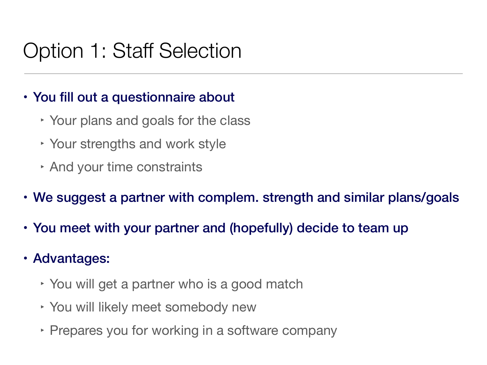## Option 1: Staff Selection

#### • You fill out a questionnaire about

- ‣ Your plans and goals for the class
- ‣ Your strengths and work style
- ‣ And your time constraints
- We suggest a partner with complem. strength and similar plans/goals
- You meet with your partner and (hopefully) decide to team up
- Advantages:
	- ‣ You will get a partner who is a good match
	- ‣ You will likely meet somebody new
	- ‣ Prepares you for working in a software company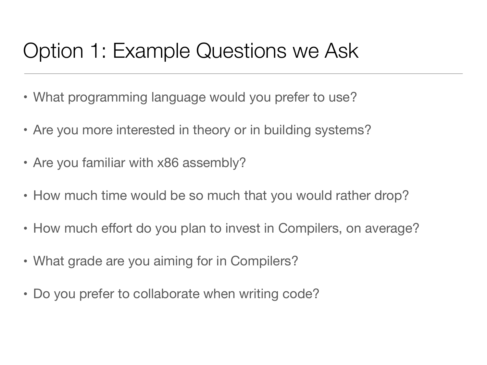## Option 1: Example Questions we Ask

- What programming language would you prefer to use?
- Are you more interested in theory or in building systems?
- Are you familiar with x86 assembly?
- How much time would be so much that you would rather drop?
- How much effort do you plan to invest in Compilers, on average?
- What grade are you aiming for in Compilers?
- Do you prefer to collaborate when writing code?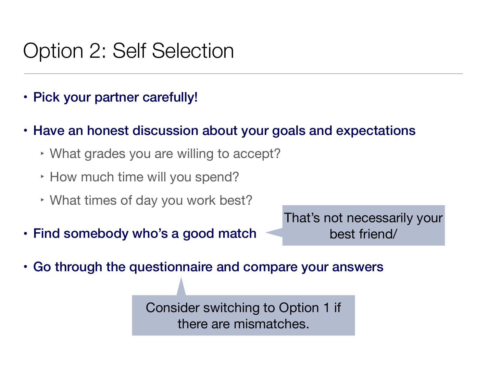### Option 2: Self Selection

- Pick your partner carefully!
- Have an honest discussion about your goals and expectations
	- ‣ What grades you are willing to accept?
	- ‣ How much time will you spend?
	- ‣ What times of day you work best?
- Find somebody who's a good match

That's not necessarily your best friend/

• Go through the questionnaire and compare your answers

Consider switching to Option 1 if there are mismatches.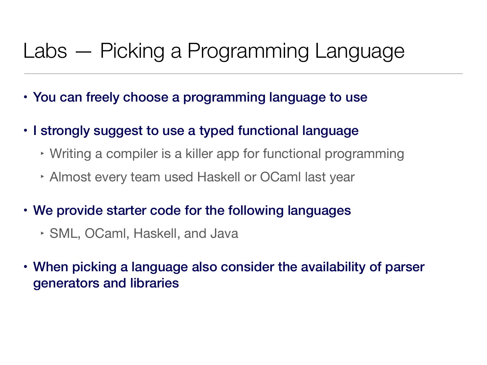## Labs — Picking a Programming Language

- You can freely choose a programming language to use
- I strongly suggest to use a typed functional language
	- ‣ Writing a compiler is a killer app for functional programming
	- ‣ Almost every team used Haskell or OCaml last year
- We provide starter code for the following languages
	- ‣ SML, OCaml, Haskell, and Java
- When picking a language also consider the availability of parser generators and libraries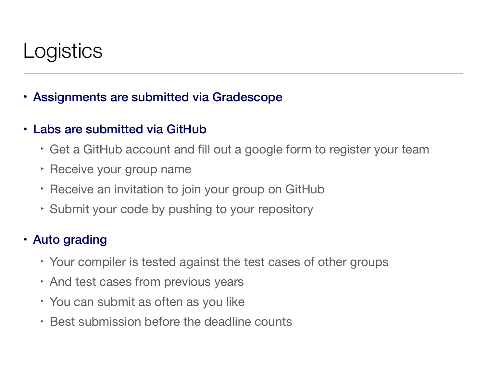## Logistics

- Assignments are submitted via Gradescope
- Labs are submitted via GitHub
	- ‣ Get a GitHub account and fill out a google form to register your team
	- ‣ Receive your group name
	- ‣ Receive an invitation to join your group on GitHub
	- ‣ Submit your code by pushing to your repository

#### • Auto grading

- ‣ Your compiler is tested against the test cases of other groups
- ‣ And test cases from previous years
- ‣ You can submit as often as you like
- ‣ Best submission before the deadline counts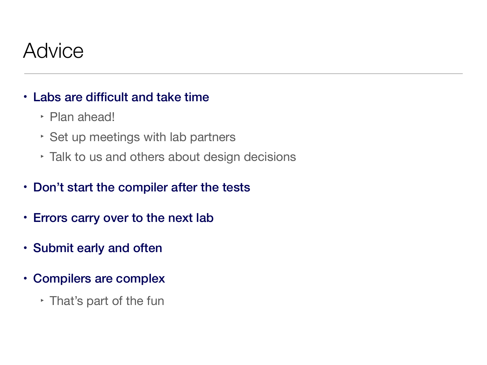### **Advice**

#### • Labs are difficult and take time

- ‣ Plan ahead!
- ‣ Set up meetings with lab partners
- ‣ Talk to us and others about design decisions
- Don't start the compiler after the tests
- Errors carry over to the next lab
- Submit early and often
- Compilers are complex
	- ‣ That's part of the fun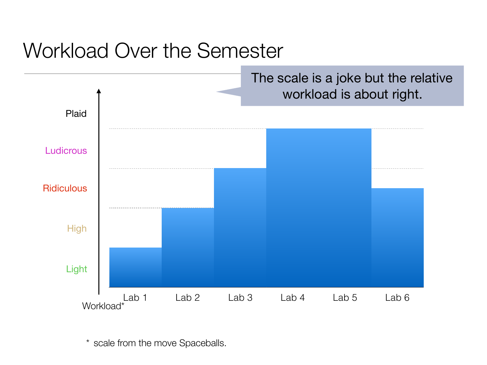### Workload Over the Semester



\* scale from the move Spaceballs.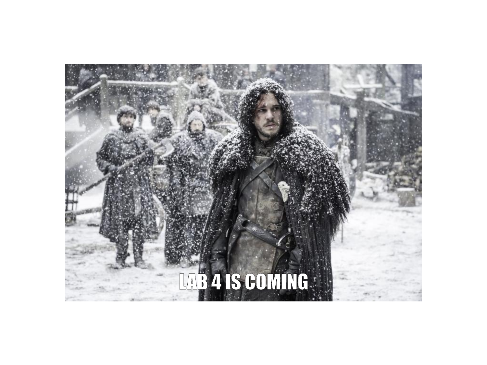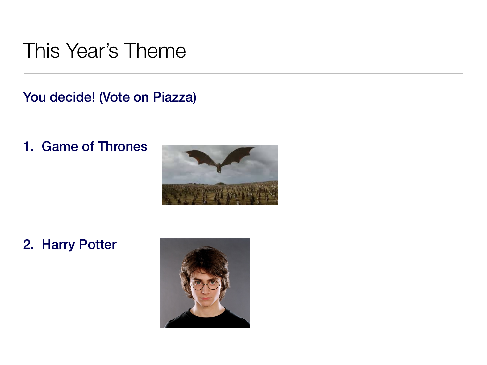### This Year's Theme

You decide! (Vote on Piazza)

1. Game of Thrones



2. Harry Potter

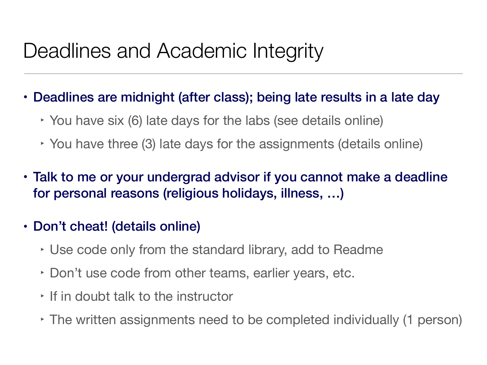## Deadlines and Academic Integrity

- Deadlines are midnight (after class); being late results in a late day
	- ‣ You have six (6) late days for the labs (see details online)
	- ‣ You have three (3) late days for the assignments (details online)
- Talk to me or your undergrad advisor if you cannot make a deadline for personal reasons (religious holidays, illness, …)
- Don't cheat! (details online)
	- ‣ Use code only from the standard library, add to Readme
	- ‣ Don't use code from other teams, earlier years, etc.
	- ‣ If in doubt talk to the instructor
	- ‣ The written assignments need to be completed individually (1 person)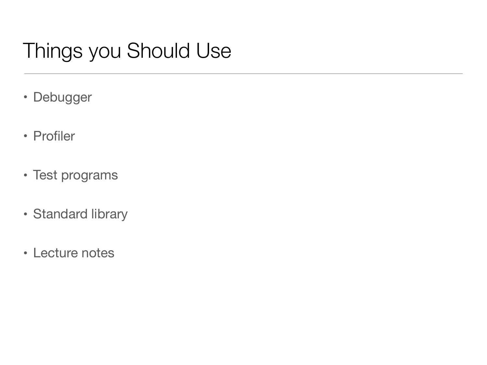## Things you Should Use

- Debugger
- Profiler
- Test programs
- Standard library
- Lecture notes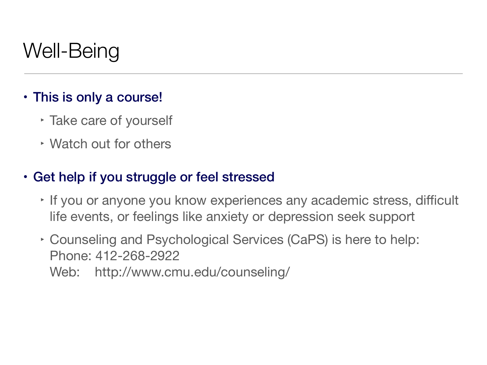## Well-Being

#### • This is only a course!

- ‣ Take care of yourself
- ‣ Watch out for others

#### • Get help if you struggle or feel stressed

- ‣ If you or anyone you know experiences any academic stress, difficult life events, or feelings like anxiety or depression seek support
- ‣ Counseling and Psychological Services (CaPS) is here to help: Phone: 412-268-2922

Web: http://www.cmu.edu/counseling/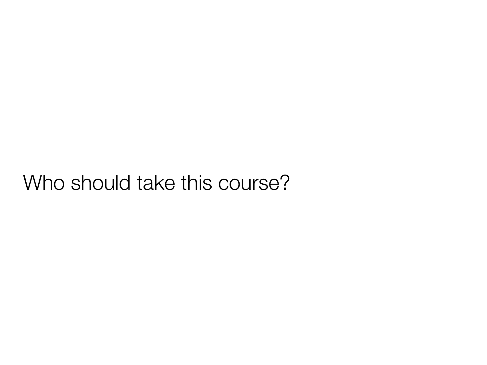### Who should take this course?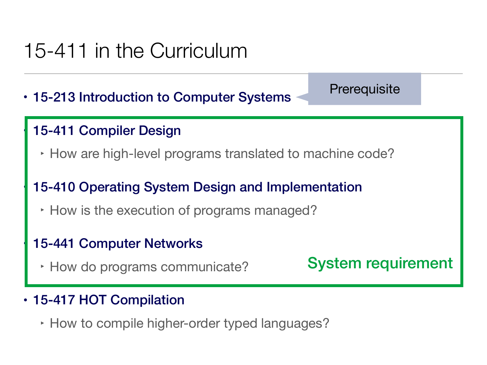## 15-411 in the Curriculum

• 15-213 Introduction to Computer Systems

#### 15-411 Compiler Design

‣ How are high-level programs translated to machine code?

#### • 15-410 Operating System Design and Implementation

‣ How is the execution of programs managed?

#### 15-441 Computer Networks

‣ How do programs communicate?

System requirement

**Prerequisite** 

- 15-417 HOT Compilation
	- ‣ How to compile higher-order typed languages?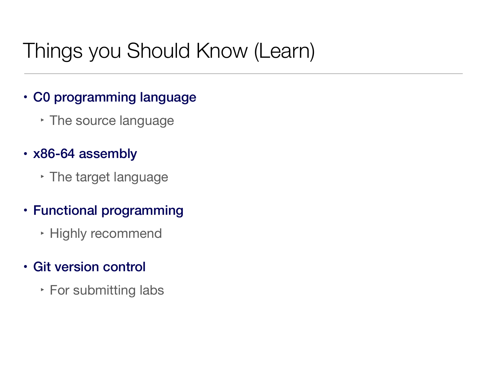## Things you Should Know (Learn)

- C0 programming language
	- ‣ The source language
- x86-64 assembly
	- ‣ The target language
- Functional programming
	- ‣ Highly recommend
- Git version control
	- ‣ For submitting labs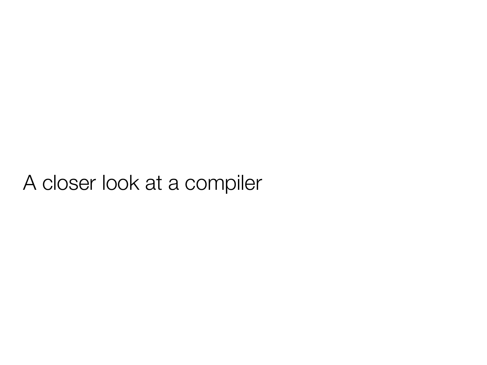### A closer look at a compiler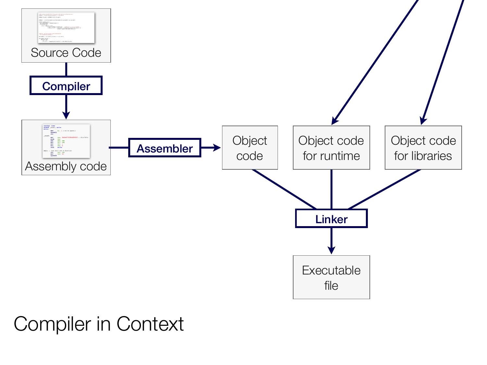

### Compiler in Context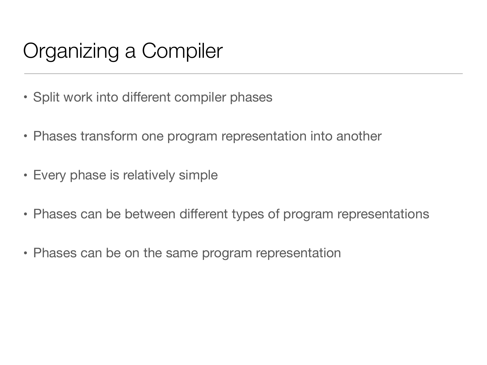# Organizing a Compiler

- Split work into different compiler phases
- Phases transform one program representation into another
- Every phase is relatively simple
- Phases can be between different types of program representations
- Phases can be on the same program representation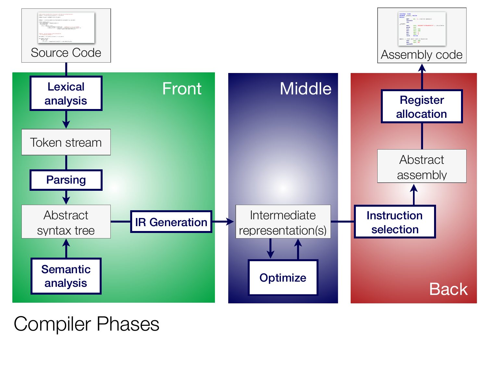

### Compiler Phases